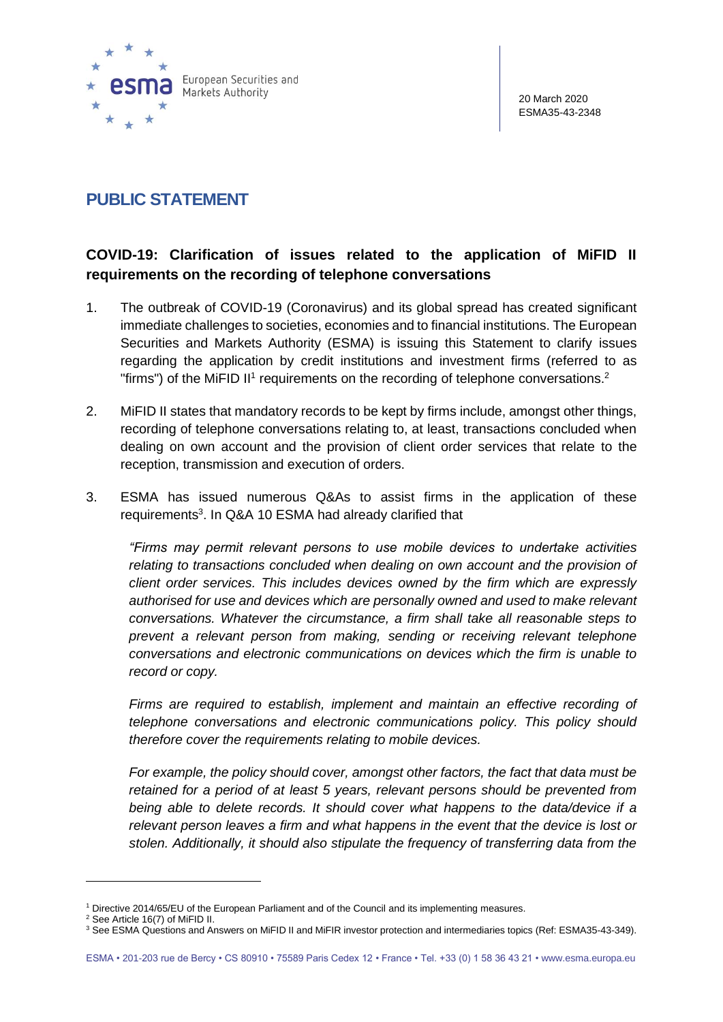

## **PUBLIC STATEMENT**

## **COVID-19: Clarification of issues related to the application of MiFID II requirements on the recording of telephone conversations**

- 1. The outbreak of COVID-19 (Coronavirus) and its global spread has created significant immediate challenges to societies, economies and to financial institutions. The European Securities and Markets Authority (ESMA) is issuing this Statement to clarify issues regarding the application by credit institutions and investment firms (referred to as "firms") of the MiFID II<sup>1</sup> requirements on the recording of telephone conversations.<sup>2</sup>
- 2. MiFID II states that mandatory records to be kept by firms include, amongst other things, recording of telephone conversations relating to, at least, transactions concluded when dealing on own account and the provision of client order services that relate to the reception, transmission and execution of orders.
- 3. ESMA has issued numerous Q&As to assist firms in the application of these requirements<sup>3</sup>. In Q&A 10 ESMA had already clarified that

*"Firms may permit relevant persons to use mobile devices to undertake activities*  relating to transactions concluded when dealing on own account and the provision of *client order services. This includes devices owned by the firm which are expressly authorised for use and devices which are personally owned and used to make relevant conversations. Whatever the circumstance, a firm shall take all reasonable steps to prevent a relevant person from making, sending or receiving relevant telephone conversations and electronic communications on devices which the firm is unable to record or copy.*

*Firms are required to establish, implement and maintain an effective recording of telephone conversations and electronic communications policy. This policy should therefore cover the requirements relating to mobile devices.* 

*For example, the policy should cover, amongst other factors, the fact that data must be retained for a period of at least 5 years, relevant persons should be prevented from being able to delete records. It should cover what happens to the data/device if a relevant person leaves a firm and what happens in the event that the device is lost or stolen. Additionally, it should also stipulate the frequency of transferring data from the* 

<sup>1</sup> Directive 2014/65/EU of the European Parliament and of the Council and its implementing measures.

<sup>2</sup> See Article 16(7) of MiFID II.

<sup>3</sup> See ESMA Questions and Answers on MiFID II and MiFIR investor protection and intermediaries topics (Ref: ESMA35-43-349).